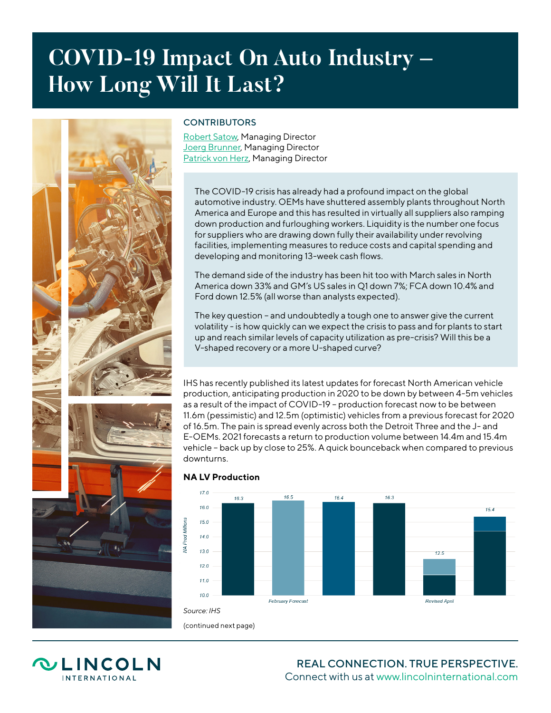## **COVID-19 Impact On Auto Industry – How Long Will It Last?**



## **CONTRIBUTORS**

[Robert Satow,](https://www.lincolninternational.com/people/robert-satow) Managing Director **[Joerg Brunner](https://www.lincolninternational.com/people/Joerg-Brunner), Managing Director [Patrick von Herz](https://www.lincolninternational.com/people/patrick-von-herz), Managing Director** 

The COVID-19 crisis has already had a profound impact on the global automotive industry. OEMs have shuttered assembly plants throughout North America and Europe and this has resulted in virtually all suppliers also ramping down production and furloughing workers. Liquidity is the number one focus for suppliers who are drawing down fully their availability under revolving facilities, implementing measures to reduce costs and capital spending and developing and monitoring 13-week cash flows.

The demand side of the industry has been hit too with March sales in North America down 33% and GM's US sales in Q1 down 7%; FCA down 10.4% and Ford down 12.5% (all worse than analysts expected).

The key question – and undoubtedly a tough one to answer give the current volatility - is how quickly can we expect the crisis to pass and for plants to start up and reach similar levels of capacity utilization as pre-crisis? Will this be a V-shaped recovery or a more U-shaped curve?

IHS has recently published its latest updates for forecast North American vehicle production, anticipating production in 2020 to be down by between 4-5m vehicles as a result of the impact of COVID-19 – production forecast now to be between 11.6m (pessimistic) and 12.5m (optimistic) vehicles from a previous forecast for 2020 of 16.5m. The pain is spread evenly across both the Detroit Three and the J- and E-OEMs. 2021 forecasts a return to production volume between 14.4m and 15.4m vehicle – back up by close to 25%. A quick bounceback when compared to previous downturns.



## **NA LV Production**